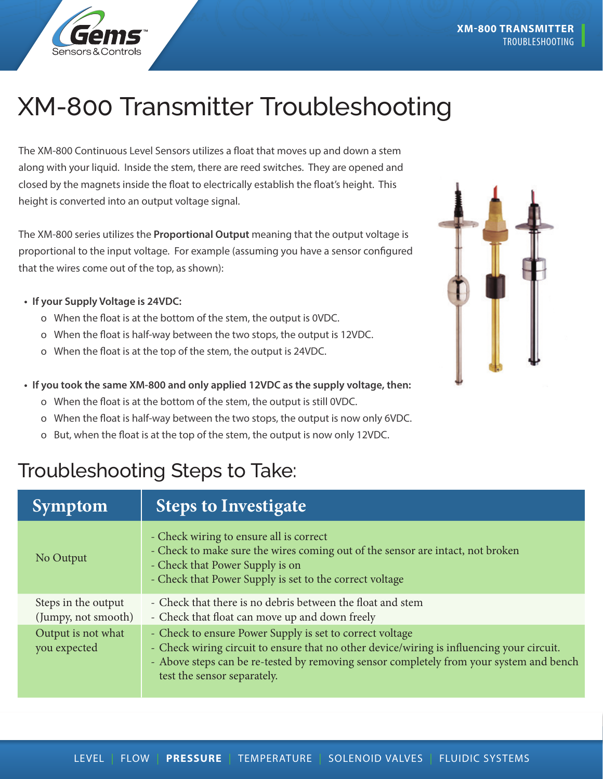

## XM-800 Transmitter Troubleshooting

The XM-800 Continuous Level Sensors utilizes a float that moves up and down a stem along with your liquid. Inside the stem, there are reed switches. They are opened and closed by the magnets inside the float to electrically establish the float's height. This height is converted into an output voltage signal.

The XM-800 series utilizes the **Proportional Output** meaning that the output voltage is proportional to the input voltage. For example (assuming you have a sensor configured that the wires come out of the top, as shown):

## **• If your Supply Voltage is 24VDC:**

- o When the float is at the bottom of the stem, the output is 0VDC.
- o When the float is half-way between the two stops, the output is 12VDC.
- o When the float is at the top of the stem, the output is 24VDC.
- **• If you took the same XM-800 and only applied 12VDC as the supply voltage, then:**
	- o When the float is at the bottom of the stem, the output is still 0VDC.
	- o When the float is half-way between the two stops, the output is now only 6VDC.
	- o But, when the float is at the top of the stem, the output is now only 12VDC.

## Troubleshooting Steps to Take:

| <b>Symptom</b>                             | <b>Steps to Investigate</b>                                                                                                                                                                                                                                                     |
|--------------------------------------------|---------------------------------------------------------------------------------------------------------------------------------------------------------------------------------------------------------------------------------------------------------------------------------|
| No Output                                  | - Check wiring to ensure all is correct<br>- Check to make sure the wires coming out of the sensor are intact, not broken<br>- Check that Power Supply is on<br>- Check that Power Supply is set to the correct voltage                                                         |
| Steps in the output<br>(Jumpy, not smooth) | - Check that there is no debris between the float and stem<br>- Check that float can move up and down freely                                                                                                                                                                    |
| Output is not what<br>you expected         | - Check to ensure Power Supply is set to correct voltage<br>- Check wiring circuit to ensure that no other device/wiring is influencing your circuit.<br>- Above steps can be re-tested by removing sensor completely from your system and bench<br>test the sensor separately. |

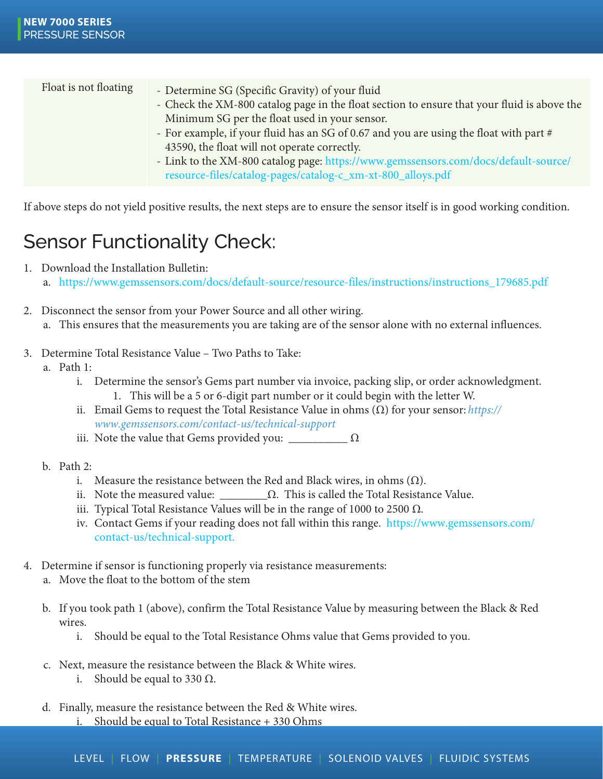| Float is not floating | - Determine SG (Specific Gravity) of your fluid                                             |
|-----------------------|---------------------------------------------------------------------------------------------|
|                       | - Check the XM-800 catalog page in the float section to ensure that your fluid is above the |
|                       | Minimum SG per the float used in your sensor.                                               |
|                       | - For example, if your fluid has an SG of 0.67 and you are using the float with part #      |
|                       | 43590, the float will not operate correctly.                                                |
|                       | - Link to the XM-800 catalog page: https://www.gemssensors.com/docs/default-source/         |
|                       | resource-files/catalog-pages/catalog-c_xm-xt-800_alloys.pdf                                 |

If above steps do not yield positive results, the next steps are to ensure the sensor itself is in good working condition.

## Sensor Functionality Check:

1. Download the Installation Bulletin:

a. https://www.gemssensors.com/docs/default-source/resource-files/instructions/instructions\_179685.pdf

- 2. Disconnect the sensor from your Power Source and all other wiring. a. This ensures that the measurements you are taking are of the sensor alone with no external influences.
- 3. Determine Total Resistance Value Two Paths to Take:
	- a. Path 1:
		- i. Determine the sensor's Gems part number via invoice, packing slip, or order acknowledgment.
			- 1. This will be a 5 or 6-digit part number or it could begin with the letter W.
		- ii. Email Gems to request the Total Resistance Value in ohms (Ω) for your sensor: *https:// www.gemssensors.com/contact-us/technical-support*
		- iii. Note the value that Gems provided you:  $\sqrt{2}$
	- b. Path 2:
		- i. Measure the resistance between the Red and Black wires, in ohms  $(\Omega)$ .
		- ii. Note the measured value:  $\Omega$ . This is called the Total Resistance Value.
		- iii. Typical Total Resistance Values will be in the range of 1000 to 2500  $Ω$ .
		- iv. Contact Gems if your reading does not fall within this range. https://www.gemssensors.com/ contact-us/technical-support.
- 4. Determine if sensor is functioning properly via resistance measurements:
	- a. Move the float to the bottom of the stem
	- b. If you took path 1 (above), confirm the Total Resistance Value by measuring between the Black & Red wires.
		- i. Should be equal to the Total Resistance Ohms value that Gems provided to you.
	- c. Next, measure the resistance between the Black & White wires.
		- i. Should be equal to 330  $\Omega$ .
	- d. Finally, measure the resistance between the Red & White wires. i. Should be equal to Total Resistance + 330 Ohms